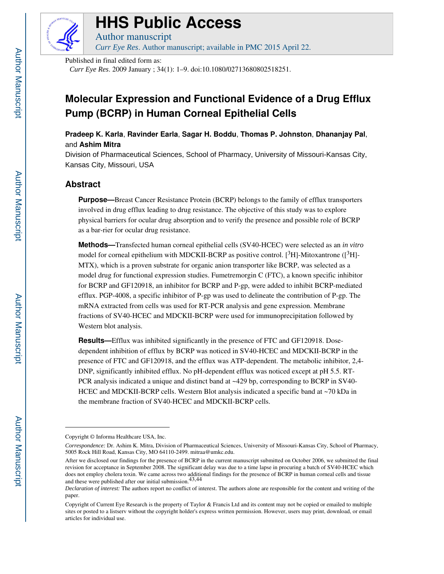

# **HHS Public Access**

Author manuscript *Curr Eye Res*. Author manuscript; available in PMC 2015 April 22.

Published in final edited form as:

*Curr Eye Res*. 2009 January ; 34(1): 1–9. doi:10.1080/02713680802518251.

# **Molecular Expression and Functional Evidence of a Drug Efflux Pump (BCRP) in Human Corneal Epithelial Cells**

**Pradeep K. Karla**, **Ravinder Earla**, **Sagar H. Boddu**, **Thomas P. Johnston**, **Dhananjay Pal**, and **Ashim Mitra**

Division of Pharmaceutical Sciences, School of Pharmacy, University of Missouri-Kansas City, Kansas City, Missouri, USA

# **Abstract**

**Purpose—**Breast Cancer Resistance Protein (BCRP) belongs to the family of efflux transporters involved in drug efflux leading to drug resistance. The objective of this study was to explore physical barriers for ocular drug absorption and to verify the presence and possible role of BCRP as a bar-rier for ocular drug resistance.

**Methods—**Transfected human corneal epithelial cells (SV40-HCEC) were selected as an *in vitro*  model for corneal epithelium with MDCKII-BCRP as positive control. [ $3H$ ]-Mitoxantrone ([ $3H$ ]-MTX), which is a proven substrate for organic anion transporter like BCRP, was selected as a model drug for functional expression studies. Fumetremorgin C (FTC), a known specific inhibitor for BCRP and GF120918, an inhibitor for BCRP and P-gp, were added to inhibit BCRP-mediated efflux. PGP-4008, a specific inhibitor of P-gp was used to delineate the contribution of P-gp. The mRNA extracted from cells was used for RT-PCR analysis and gene expression. Membrane fractions of SV40-HCEC and MDCKII-BCRP were used for immunoprecipitation followed by Western blot analysis.

**Results—Efflux** was inhibited significantly in the presence of FTC and GF120918. Dosedependent inhibition of efflux by BCRP was noticed in SV40-HCEC and MDCKII-BCRP in the presence of FTC and GF120918, and the efflux was ATP-dependent. The metabolic inhibitor, 2,4- DNP, significantly inhibited efflux. No pH-dependent efflux was noticed except at pH 5.5. RT-PCR analysis indicated a unique and distinct band at ~429 bp, corresponding to BCRP in SV40- HCEC and MDCKII-BCRP cells. Western Blot analysis indicated a specific band at ~70 kDa in the membrane fraction of SV40-HCEC and MDCKII-BCRP cells.

Copyright © Informa Healthcare USA, Inc.

*Correspondence:* Dr. Ashim K. Mitra, Division of Pharmaceutical Sciences, University of Missouri-Kansas City, School of Pharmacy, 5005 Rock Hill Road, Kansas City, MO 64110-2499. mitraa@umkc.edu.

After we disclosed our findings for the presence of BCRP in the current manuscript submitted on October 2006, we submitted the final revision for acceptance in September 2008. The significant delay was due to a time lapse in procuring a batch of SV40-HCEC which does not employ cholera toxin. We came across two additional findings for the presence of BCRP in human corneal cells and tissue and these were published after our initial submission.43,44

*Declaration of interest:* The authors report no conflict of interest. The authors alone are responsible for the content and writing of the paper.

Copyright of Current Eye Research is the property of Taylor & Francis Ltd and its content may not be copied or emailed to multiple sites or posted to a listserv without the copyright holder's express written permission. However, users may print, download, or email articles for individual use.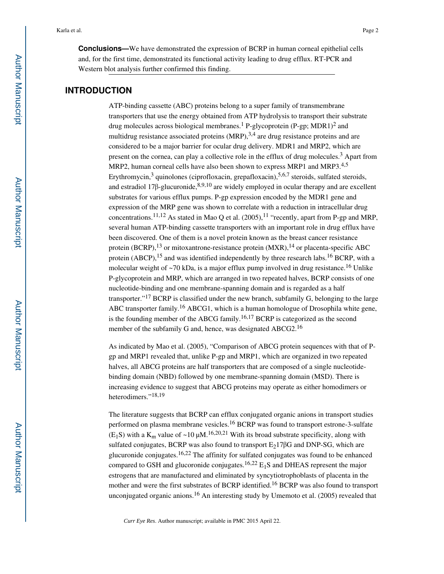**Conclusions—**We have demonstrated the expression of BCRP in human corneal epithelial cells and, for the first time, demonstrated its functional activity leading to drug efflux. RT-PCR and Western blot analysis further confirmed this finding.

# **INTRODUCTION**

ATP-binding cassette (ABC) proteins belong to a super family of transmembrane transporters that use the energy obtained from ATP hydrolysis to transport their substrate drug molecules across biological membranes.<sup>1</sup> P-glycoprotein (P-gp; MDR1)<sup>2</sup> and multidrug resistance associated proteins  $(MRP)$ ,  $3,4$  are drug resistance proteins and are considered to be a major barrier for ocular drug delivery. MDR1 and MRP2, which are present on the cornea, can play a collective role in the efflux of drug molecules.<sup>3</sup> Apart from MRP2, human corneal cells have also been shown to express MRP1 and MRP3.<sup>4,5</sup> Erythromycin,<sup>3</sup> quinolones (ciprofloxacin, grepafloxacin),<sup>5,6,7</sup> steroids, sulfated steroids, and estradiol 17 $\beta$ -glucuronide,  $8,9,10$  are widely employed in ocular therapy and are excellent substrates for various efflux pumps. P-gp expression encoded by the MDR1 gene and expression of the MRP gene was shown to correlate with a reduction in intracellular drug concentrations.<sup>11,12</sup> As stated in Mao Q et al.  $(2005)$ ,<sup>11</sup> "recently, apart from P-gp and MRP, several human ATP-binding cassette transporters with an important role in drug efflux have been discovered. One of them is a novel protein known as the breast cancer resistance protein (BCRP),<sup>13</sup> or mitoxantrone-resistance protein (MXR),<sup>14</sup> or placenta-specific ABC protein  $(ABCP)$ , <sup>15</sup> and was identified independently by three research labs.<sup>16</sup> BCRP, with a molecular weight of  $\sim$ 70 kDa, is a major efflux pump involved in drug resistance.<sup>16</sup> Unlike P-glycoprotein and MRP, which are arranged in two repeated halves, BCRP consists of one nucleotide-binding and one membrane-spanning domain and is regarded as a half transporter."17 BCRP is classified under the new branch, subfamily G, belonging to the large ABC transporter family.16 ABCG1, which is a human homologue of Drosophila white gene, is the founding member of the ABCG family.<sup>16,17</sup> BCRP is categorized as the second member of the subfamily G and, hence, was designated ABCG2.<sup>16</sup>

As indicated by Mao et al. (2005), "Comparison of ABCG protein sequences with that of Pgp and MRP1 revealed that, unlike P-gp and MRP1, which are organized in two repeated halves, all ABCG proteins are half transporters that are composed of a single nucleotidebinding domain (NBD) followed by one membrane-spanning domain (MSD). There is increasing evidence to suggest that ABCG proteins may operate as either homodimers or heterodimers."18,19

The literature suggests that BCRP can efflux conjugated organic anions in transport studies performed on plasma membrane vesicles.<sup>16</sup> BCRP was found to transport estrone-3-sulfate  $(E_1S)$  with a K<sub>m</sub> value of ~10  $\mu$ M.<sup>16,20,21</sup> With its broad substrate specificity, along with sulfated conjugates, BCRP was also found to transport  $E<sub>2</sub>17\beta G$  and DNP-SG, which are glucuronide conjugates.<sup>16,22</sup> The affinity for sulfated conjugates was found to be enhanced compared to GSH and glucoronide conjugates.<sup>16,22</sup>  $E_1S$  and DHEAS represent the major estrogens that are manufactured and eliminated by syncytiotrophoblasts of placenta in the mother and were the first substrates of BCRP identified.<sup>16</sup> BCRP was also found to transport unconjugated organic anions.16 An interesting study by Umemoto et al. (2005) revealed that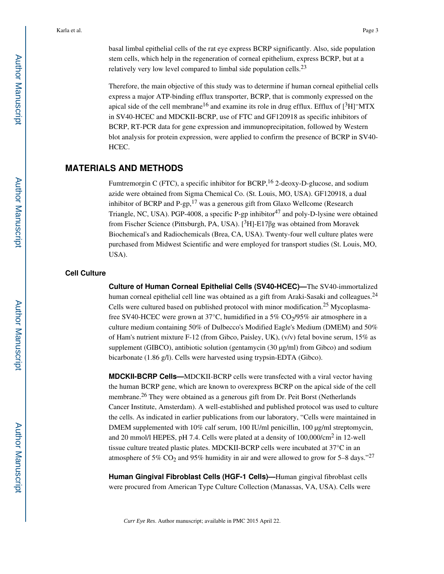basal limbal epithelial cells of the rat eye express BCRP significantly. Also, side population stem cells, which help in the regeneration of corneal epithelium, express BCRP, but at a relatively very low level compared to limbal side population cells.<sup>23</sup>

Therefore, the main objective of this study was to determine if human corneal epithelial cells express a major ATP-binding efflux transporter, BCRP, that is commonly expressed on the apical side of the cell membrane<sup>16</sup> and examine its role in drug efflux. Efflux of  $[^3H]^-$ MTX in SV40-HCEC and MDCKII-BCRP, use of FTC and GF120918 as specific inhibitors of BCRP, RT-PCR data for gene expression and immunoprecipitation, followed by Western blot analysis for protein expression, were applied to confirm the presence of BCRP in SV40- HCEC.

# **MATERIALS AND METHODS**

Fumtremorgin C (FTC), a specific inhibitor for BCRP,  $^{16}$  2-deoxy-D-glucose, and sodium azide were obtained from Sigma Chemical Co. (St. Louis, MO, USA). GF120918, a dual inhibitor of BCRP and P-gp, $17$  was a generous gift from Glaxo Wellcome (Research Triangle, NC, USA). PGP-4008, a specific P-gp inhibitor<sup>47</sup> and poly-D-lysine were obtained from Fischer Science (Pittsburgh, PA, USA).  $[{}^{3}H]$ -E17 $\beta$ g was obtained from Moravek Biochemical's and Radiochemicals (Brea, CA, USA). Twenty-four well culture plates were purchased from Midwest Scientific and were employed for transport studies (St. Louis, MO, USA).

#### **Cell Culture**

**Culture of Human Corneal Epithelial Cells (SV40-HCEC)—**The SV40-immortalized human corneal epithelial cell line was obtained as a gift from Araki-Sasaki and colleagues.<sup>24</sup> Cells were cultured based on published protocol with minor modification.25 Mycoplasmafree SV40-HCEC were grown at 37 $^{\circ}$ C, humidified in a 5% CO<sub>2</sub>/95% air atmosphere in a culture medium containing 50% of Dulbecco's Modified Eagle's Medium (DMEM) and 50% of Ham's nutrient mixture F-12 (from Gibco, Paisley, UK), (v/v) fetal bovine serum, 15% as supplement (GIBCO), antibiotic solution (gentamycin (30 μg/ml) from Gibco) and sodium bicarbonate (1.86 g/l). Cells were harvested using trypsin-EDTA (Gibco).

**MDCKII-BCRP Cells—**MDCKII-BCRP cells were transfected with a viral vector having the human BCRP gene, which are known to overexpress BCRP on the apical side of the cell membrane.<sup>26</sup> They were obtained as a generous gift from Dr. Peit Borst (Netherlands Cancer Institute, Amsterdam). A well-established and published protocol was used to culture the cells. As indicated in earlier publications from our laboratory, "Cells were maintained in DMEM supplemented with 10% calf serum, 100 IU/ml penicillin, 100 μg/ml streptomycin, and 20 mmol/l HEPES, pH 7.4. Cells were plated at a density of  $100,000/cm^2$  in 12-well tissue culture treated plastic plates. MDCKII-BCRP cells were incubated at 37°C in an atmosphere of 5%  $CO<sub>2</sub>$  and 95% humidity in air and were allowed to grow for 5–8 days."<sup>27</sup>

**Human Gingival Fibroblast Cells (HGF-1 Cells)—**Human gingival fibroblast cells were procured from American Type Culture Collection (Manassas, VA, USA). Cells were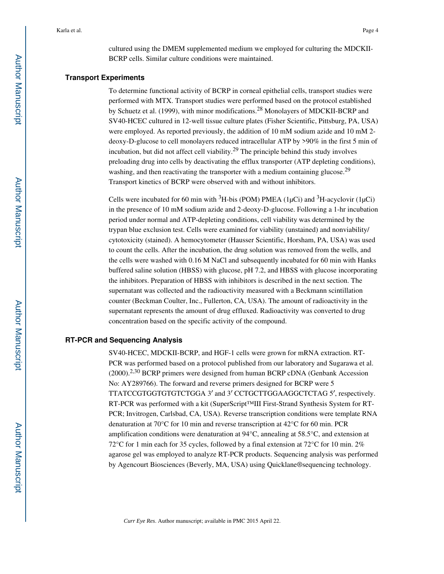cultured using the DMEM supplemented medium we employed for culturing the MDCKII-BCRP cells. Similar culture conditions were maintained.

#### **Transport Experiments**

To determine functional activity of BCRP in corneal epithelial cells, transport studies were performed with MTX. Transport studies were performed based on the protocol established by Schuetz et al. (1999), with minor modifications.28 Monolayers of MDCKII-BCRP and SV40-HCEC cultured in 12-well tissue culture plates (Fisher Scientific, Pittsburg, PA, USA) were employed. As reported previously, the addition of 10 mM sodium azide and 10 mM 2 deoxy-D-glucose to cell monolayers reduced intracellular ATP by >90% in the first 5 min of incubation, but did not affect cell viability.29 The principle behind this study involves preloading drug into cells by deactivating the efflux transporter (ATP depleting conditions), washing, and then reactivating the transporter with a medium containing glucose.<sup>29</sup> Transport kinetics of BCRP were observed with and without inhibitors.

Cells were incubated for 60 min with  ${}^{3}H$ -bis (POM) PMEA (1µCi) and  ${}^{3}H$ -acyclovir (1µCi) in the presence of 10 mM sodium azide and 2-deoxy-D-glucose. Following a 1-hr incubation period under normal and ATP-depleting conditions, cell viability was determined by the trypan blue exclusion test. Cells were examined for viability (unstained) and nonviability/ cytotoxicity (stained). A hemocytometer (Hausser Scientific, Horsham, PA, USA) was used to count the cells. After the incubation, the drug solution was removed from the wells, and the cells were washed with 0.16 M NaCl and subsequently incubated for 60 min with Hanks buffered saline solution (HBSS) with glucose, pH 7.2, and HBSS with glucose incorporating the inhibitors. Preparation of HBSS with inhibitors is described in the next section. The supernatant was collected and the radioactivity measured with a Beckmann scintillation counter (Beckman Coulter, Inc., Fullerton, CA, USA). The amount of radioactivity in the supernatant represents the amount of drug effluxed. Radioactivity was converted to drug concentration based on the specific activity of the compound.

## **RT-PCR and Sequencing Analysis**

SV40-HCEC, MDCKII-BCRP, and HGF-1 cells were grown for mRNA extraction. RT-PCR was performed based on a protocol published from our laboratory and Sugarawa et al. (2000).2,30 BCRP primers were designed from human BCRP cDNA (Genbank Accession No: AY289766). The forward and reverse primers designed for BCRP were 5 TTATCCGTGGTGTGTCTGGA 3′ and 3′ CCTGCTTGGAAGGCTCTAG 5′, respectively. RT-PCR was performed with a kit (SuperScript<sup>™III</sup>I First-Strand Synthesis System for RT-PCR; Invitrogen, Carlsbad, CA, USA). Reverse transcription conditions were template RNA denaturation at 70°C for 10 min and reverse transcription at 42°C for 60 min. PCR amplification conditions were denaturation at 94°C, annealing at 58.5°C, and extension at 72°C for 1 min each for 35 cycles, followed by a final extension at 72°C for 10 min. 2% agarose gel was employed to analyze RT-PCR products. Sequencing analysis was performed by Agencourt Biosciences (Beverly, MA, USA) using Quicklane®sequencing technology.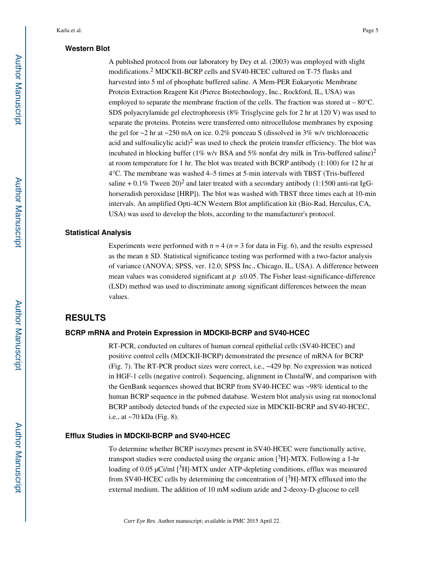#### **Western Blot**

A published protocol from our laboratory by Dey et al. (2003) was employed with slight modifications.<sup>2</sup> MDCKII-BCRP cells and SV40-HCEC cultured on T-75 flasks and harvested into 5 ml of phosphate buffered saline. A Mem-PER Eukaryotic Membrane Protein Extraction Reagent Kit (Pierce Biotechnology, Inc., Rockford, IL, USA) was employed to separate the membrane fraction of the cells. The fraction was stored at  $-80^{\circ}$ C. SDS polyacrylamide gel electrophoresis (8% Trisglycine gels for 2 hr at 120 V) was used to separate the proteins. Proteins were transferred onto nitrocellulose membranes by exposing the gel for ~2 hr at ~250 mA on ice. 0.2% ponceau S (dissolved in 3% w/v trichloroacetic acid and sulfosalicylic acid)<sup>2</sup> was used to check the protein transfer efficiency. The blot was incubated in blocking buffer (1% w/v BSA and 5% nonfat dry milk in Tris-buffered saline)<sup>2</sup> at room temperature for 1 hr. The blot was treated with BCRP antibody (1:100) for 12 hr at 4°C. The membrane was washed 4–5 times at 5-min intervals with TBST (Tris-buffered saline  $+0.1\%$  Tween 20)<sup>2</sup> and later treated with a secondary antibody (1:1500 anti-rat IgGhorseradish peroxidase [HRP]). The blot was washed with TBST three times each at 10-min intervals. An amplified Opti-4CN Western Blot amplification kit (Bio-Rad, Herculus, CA, USA) was used to develop the blots, according to the manufacturer's protocol.

## **Statistical Analysis**

Experiments were performed with  $n = 4$  ( $n = 3$  for data in Fig. 6), and the results expressed as the mean  $\pm$  SD. Statistical significance testing was performed with a two-factor analysis of variance (ANOVA; SPSS, ver. 12.0; SPSS Inc., Chicago, IL, USA). A difference between mean values was considered significant at  $p \le 0.05$ . The Fisher least-significance-difference (LSD) method was used to discriminate among significant differences between the mean values.

# **RESULTS**

#### **BCRP mRNA and Protein Expression in MDCKII-BCRP and SV40-HCEC**

RT-PCR, conducted on cultures of human corneal epithelial cells (SV40-HCEC) and positive control cells (MDCKII-BCRP) demonstrated the presence of mRNA for BCRP (Fig. 7). The RT-PCR product sizes were correct, i.e., ~429 bp. No expression was noticed in HGF-1 cells (negative control). Sequencing, alignment in ClustalW, and comparison with the GenBank sequences showed that BCRP from SV40-HCEC was ~98% identical to the human BCRP sequence in the pubmed database. Western blot analysis using rat monoclonal BCRP antibody detected bands of the expected size in MDCKII-BCRP and SV40-HCEC, i.e., at ~70 kDa (Fig. 8).

#### **Efflux Studies in MDCKII-BCRP and SV40-HCEC**

To determine whether BCRP isozymes present in SV40-HCEC were functionally active, transport studies were conducted using the organic anion  $[3H]$ -MTX. Following a 1-hr loading of 0.05  $\mu$ Ci/ml [<sup>3</sup>H]-MTX under ATP-depleting conditions, efflux was measured from SV40-HCEC cells by determining the concentration of  $\binom{3}{1}$ -MTX effluxed into the external medium. The addition of 10 mM sodium azide and 2-deoxy-D-glucose to cell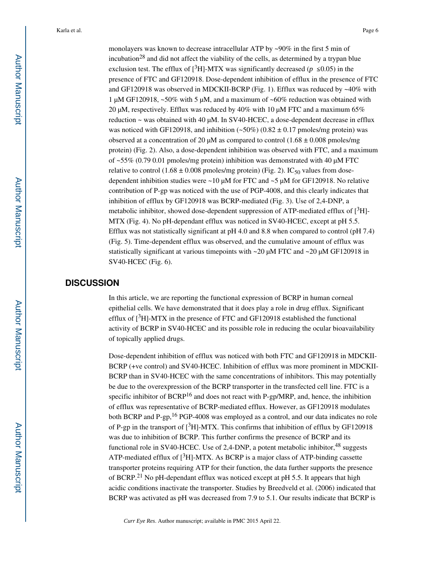monolayers was known to decrease intracellular ATP by ~90% in the first 5 min of incubation<sup>28</sup> and did not affect the viability of the cells, as determined by a trypan blue exclusion test. The efflux of  $[3H]$ -MTX was significantly decreased ( $p \le 0.05$ ) in the presence of FTC and GF120918. Dose-dependent inhibition of efflux in the presence of FTC and GF120918 was observed in MDCKII-BCRP (Fig. 1). Efflux was reduced by  $\sim40\%$  with 1 μM GF120918, ~50% with 5 μM, and a maximum of ~60% reduction was obtained with 20 μM, respectively. Efflux was reduced by  $40\%$  with 10 μM FTC and a maximum 65% reduction ~ was obtained with 40 μM. In SV40-HCEC, a dose-dependent decrease in efflux was noticed with GF120918, and inhibition  $(-50\%)$  (0.82  $\pm$  0.17 pmoles/mg protein) was observed at a concentration of 20  $\mu$ M as compared to control (1.68  $\pm$  0.008 pmoles/mg protein) (Fig. 2). Also, a dose-dependent inhibition was observed with FTC, and a maximum of  $\sim$  55% (0.79 0.01 pmoles/mg protein) inhibition was demonstrated with 40  $\mu$ M FTC relative to control (1.68  $\pm$  0.008 pmoles/mg protein) (Fig. 2). IC<sub>50</sub> values from dosedependent inhibition studies were  $\sim$  10 μM for FTC and  $\sim$  5 μM for GF120918. No relative contribution of P-gp was noticed with the use of PGP-4008, and this clearly indicates that inhibition of efflux by GF120918 was BCRP-mediated (Fig. 3). Use of 2,4-DNP, a metabolic inhibitor, showed dose-dependent suppression of ATP-mediated efflux of  $[^3H]$ -MTX (Fig. 4). No pH-dependant efflux was noticed in SV40-HCEC, except at pH 5.5. Efflux was not statistically significant at pH 4.0 and 8.8 when compared to control (pH 7.4) (Fig. 5). Time-dependent efflux was observed, and the cumulative amount of efflux was statistically significant at various timepoints with ~20 μM FTC and ~20 μM GF120918 in SV40-HCEC (Fig. 6).

# **DISCUSSION**

In this article, we are reporting the functional expression of BCRP in human corneal epithelial cells. We have demonstrated that it does play a role in drug efflux. Significant efflux of  $[^3H]$ -MTX in the presence of FTC and GF120918 established the functional activity of BCRP in SV40-HCEC and its possible role in reducing the ocular bioavailability of topically applied drugs.

Dose-dependent inhibition of efflux was noticed with both FTC and GF120918 in MDCKII-BCRP (+ve control) and SV40-HCEC. Inhibition of efflux was more prominent in MDCKII-BCRP than in SV40-HCEC with the same concentrations of inhibitors. This may potentially be due to the overexpression of the BCRP transporter in the transfected cell line. FTC is a specific inhibitor of  $BCRP<sup>16</sup>$  and does not react with P-gp/MRP, and, hence, the inhibition of efflux was representative of BCRP-mediated efflux. However, as GF120918 modulates both BCRP and P-gp,<sup>16</sup> PGP-4008 was employed as a control, and our data indicates no role of P-gp in the transport of  $[{}^{3}H]$ -MTX. This confirms that inhibition of efflux by GF120918 was due to inhibition of BCRP. This further confirms the presence of BCRP and its functional role in SV40-HCEC. Use of 2,4-DNP, a potent metabolic inhibitor,  $48$  suggests ATP-mediated efflux of  $[3H]$ -MTX. As BCRP is a major class of ATP-binding cassette transporter proteins requiring ATP for their function, the data further supports the presence of BCRP.21 No pH-dependant efflux was noticed except at pH 5.5. It appears that high acidic conditions inactivate the transporter. Studies by Breedveld et al. (2006) indicated that BCRP was activated as pH was decreased from 7.9 to 5.1. Our results indicate that BCRP is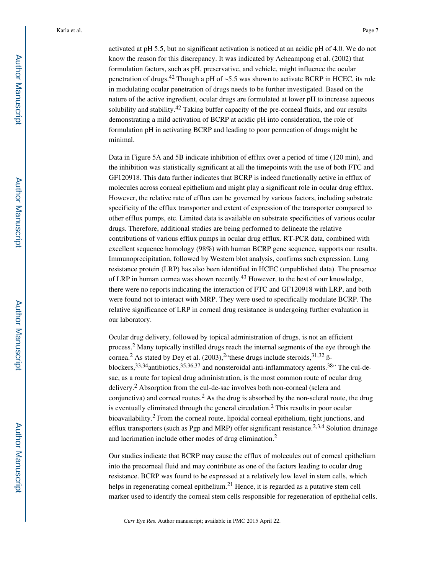activated at pH 5.5, but no significant activation is noticed at an acidic pH of 4.0. We do not know the reason for this discrepancy. It was indicated by Acheampong et al. (2002) that formulation factors, such as pH, preservative, and vehicle, might influence the ocular penetration of drugs.<sup>42</sup> Though a pH of  $\sim$ 5.5 was shown to activate BCRP in HCEC, its role in modulating ocular penetration of drugs needs to be further investigated. Based on the nature of the active ingredient, ocular drugs are formulated at lower pH to increase aqueous solubility and stability.<sup>42</sup> Taking buffer capacity of the pre-corneal fluids, and our results demonstrating a mild activation of BCRP at acidic pH into consideration, the role of formulation pH in activating BCRP and leading to poor permeation of drugs might be minimal.

Data in Figure 5A and 5B indicate inhibition of efflux over a period of time (120 min), and the inhibition was statistically significant at all the timepoints with the use of both FTC and GF120918. This data further indicates that BCRP is indeed functionally active in efflux of molecules across corneal epithelium and might play a significant role in ocular drug efflux. However, the relative rate of efflux can be governed by various factors, including substrate specificity of the efflux transporter and extent of expression of the transporter compared to other efflux pumps, etc. Limited data is available on substrate specificities of various ocular drugs. Therefore, additional studies are being performed to delineate the relative contributions of various efflux pumps in ocular drug efflux. RT-PCR data, combined with excellent sequence homology (98%) with human BCRP gene sequence, supports our results. Immunoprecipitation, followed by Western blot analysis, confirms such expression. Lung resistance protein (LRP) has also been identified in HCEC (unpublished data). The presence of LRP in human cornea was shown recently.43 However, to the best of our knowledge, there were no reports indicating the interaction of FTC and GF120918 with LRP, and both were found not to interact with MRP. They were used to specifically modulate BCRP. The relative significance of LRP in corneal drug resistance is undergoing further evaluation in our laboratory.

Ocular drug delivery, followed by topical administration of drugs, is not an efficient process.<sup>2</sup> Many topically instilled drugs reach the internal segments of the eye through the cornea.<sup>2</sup> As stated by Dey et al.  $(2003)$ ,<sup>2</sup> these drugs include steroids,<sup>31,32</sup> ßblockers,  $33,34$  antibiotics,  $35,36,37$  and nonsteroidal anti-inflammatory agents.  $38$ <sup>3</sup> The cul-desac, as a route for topical drug administration, is the most common route of ocular drug delivery.<sup>2</sup> Absorption from the cul-de-sac involves both non-corneal (sclera and conjunctiva) and corneal routes.<sup>2</sup> As the drug is absorbed by the non-scleral route, the drug is eventually eliminated through the general circulation.<sup>2</sup> This results in poor ocular bioavailability.<sup>2</sup> From the corneal route, lipoidal corneal epithelium, tight junctions, and efflux transporters (such as Pgp and MRP) offer significant resistance.<sup>2,3,4</sup> Solution drainage and lacrimation include other modes of drug elimination.<sup>2</sup>

Our studies indicate that BCRP may cause the efflux of molecules out of corneal epithelium into the precorneal fluid and may contribute as one of the factors leading to ocular drug resistance. BCRP was found to be expressed at a relatively low level in stem cells, which helps in regenerating corneal epithelium.<sup>21</sup> Hence, it is regarded as a putative stem cell marker used to identify the corneal stem cells responsible for regeneration of epithelial cells.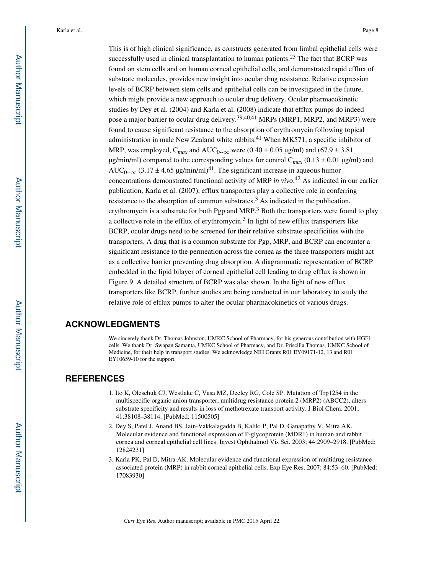This is of high clinical significance, as constructs generated from limbal epithelial cells were successfully used in clinical transplantation to human patients.<sup>23</sup> The fact that BCRP was found on stem cells and on human corneal epithelial cells, and demonstrated rapid efflux of substrate molecules, provides new insight into ocular drug resistance. Relative expression levels of BCRP between stem cells and epithelial cells can be investigated in the future, which might provide a new approach to ocular drug delivery. Ocular pharmacokinetic studies by Dey et al. (2004) and Karla et al. (2008) indicate that efflux pumps do indeed pose a major barrier to ocular drug delivery.<sup>39,40,41</sup> MRPs (MRP1, MRP2, and MRP3) were found to cause significant resistance to the absorption of erythromycin following topical administration in male New Zealand white rabbits.<sup>41</sup> When MK571, a specific inhibitor of MRP, was employed,  $C_{max}$  and  $AUC_{0-\infty}$  were (0.40  $\pm$  0.05 µg/ml) and (67.9  $\pm$  3.81 μg/min/ml) compared to the corresponding values for control  $C_{max}$  (0.13 ± 0.01 μg/ml) and AUC<sub>0--∞</sub> (3.17 ± 4.65 µg/min/ml)<sup>41</sup>. The significant increase in aqueous humor concentrations demonstrated functional activity of MRP *in vivo*. <sup>42</sup> As indicated in our earlier publication, Karla et al. (2007), efflux transporters play a collective role in conferring resistance to the absorption of common substrates.<sup>3</sup> As indicated in the publication, erythromycin is a substrate for both Pgp and MRP.<sup>3</sup> Both the transporters were found to play a collective role in the efflux of erythromycin.<sup>3</sup> In light of new efflux transporters like BCRP, ocular drugs need to be screened for their relative substrate specificities with the transporters. A drug that is a common substrate for Pgp, MRP, and BCRP can encounter a significant resistance to the permeation across the cornea as the three transporters might act as a collective barrier preventing drug absorption. A diagrammatic representation of BCRP embedded in the lipid bilayer of corneal epithelial cell leading to drug efflux is shown in Figure 9. A detailed structure of BCRP was also shown. In the light of new efflux transporters like BCRP, further studies are being conducted in our laboratory to study the relative role of efflux pumps to alter the ocular pharmacokinetics of various drugs.

# **ACKNOWLEDGMENTS**

We sincerely thank Dr. Thomas Johnston, UMKC School of Pharmacy, for his generous contribution with HGF1 cells. We thank Dr. Swapan Samanta, UMKC School of Pharmacy, and Dr. Priscilla Thomas, UMKC School of Medicine, for their help in transport studies. We acknowledge NIH Grants R01 EY09171-12, 13 and R01 EY10659-10 for the support.

# **REFERENCES**

- 1. Ito K, Oleschuk CJ, Westlake C, Vasa MZ, Deeley RG, Cole SP. Mutation of Trp1254 in the multispecific organic anion transporter, multidrug resistance protein 2 (MRP2) (ABCC2), alters substrate specificity and results in loss of methotrexate transport activity. J Biol Chem. 2001; 41:38108–38114. [PubMed: 11500505]
- 2. Dey S, Patel J, Anand BS, Jain-Vakkalagadda B, Kaliki P, Pal D, Ganapathy V, Mitra AK. Molecular evidence and functional expression of P-glycoprotein (MDR1) in human and rabbit cornea and corneal epithelial cell lines. Invest Ophthalmol Vis Sci. 2003; 44:2909–2918. [PubMed: 12824231]
- 3. Karla PK, Pal D, Mitra AK. Molecular evidence and functional expression of multidrug resistance associated protein (MRP) in rabbit corneal epithelial cells. Exp Eye Res. 2007; 84:53–60. [PubMed: 17083930]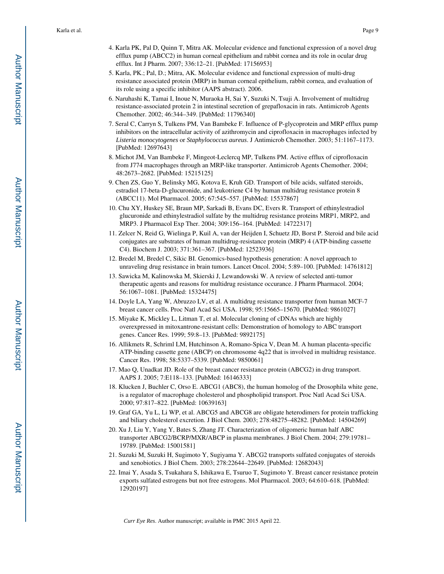- 4. Karla PK, Pal D, Quinn T, Mitra AK. Molecular evidence and functional expression of a novel drug efflux pump (ABCC2) in human corneal epithelium and rabbit cornea and its role in ocular drug efflux. Int J Pharm. 2007; 336:12–21. [PubMed: 17156953]
- 5. Karla, PK.; Pal, D.; Mitra, AK. Molecular evidence and functional expression of multi-drug resistance associated protein (MRP) in human corneal epithelium, rabbit cornea, and evaluation of its role using a specific inhibitor (AAPS abstract). 2006.
- 6. Naruhashi K, Tamai I, Inoue N, Muraoka H, Sai Y, Suzuki N, Tsuji A. Involvement of multidrug resistance-associated protein 2 in intestinal secretion of grepafloxacin in rats. Antimicrob Agents Chemother. 2002; 46:344–349. [PubMed: 11796340]
- 7. Seral C, Carryn S, Tulkens PM, Van Bambeke F. Influence of P-glycoprotein and MRP efflux pump inhibitors on the intracellular activity of azithromycin and ciprofloxacin in macrophages infected by *Listeria monocytogenes* or *Staphylococcus aureus*. J Antimicrob Chemother. 2003; 51:1167–1173. [PubMed: 12697643]
- 8. Michot JM, Van Bambeke F, Mingeot-Leclercq MP, Tulkens PM. Active efflux of ciprofloxacin from J774 macrophages through an MRP-like transporter. Antimicrob Agents Chemother. 2004; 48:2673–2682. [PubMed: 15215125]
- 9. Chen ZS, Guo Y, Belinsky MG, Kotova E, Kruh GD. Transport of bile acids, sulfated steroids, estradiol 17-beta-D-glucuronide, and leukotriene C4 by human multidrug resistance protein 8 (ABCC11). Mol Pharmacol. 2005; 67:545–557. [PubMed: 15537867]
- 10. Chu XY, Huskey SE, Braun MP, Sarkadi B, Evans DC, Evers R. Transport of ethinylestradiol glucuronide and ethinylestradiol sulfate by the multidrug resistance proteins MRP1, MRP2, and MRP3. J Pharmacol Exp Ther. 2004; 309:156–164. [PubMed: 14722317]
- 11. Zelcer N, Reid G, Wielinga P, Kuil A, van der Heijden I, Schuetz JD, Borst P. Steroid and bile acid conjugates are substrates of human multidrug-resistance protein (MRP) 4 (ATP-binding cassette C4). Biochem J. 2003; 371:361–367. [PubMed: 12523936]
- 12. Bredel M, Bredel C, Sikic BI. Genomics-based hypothesis generation: A novel approach to unraveling drug resistance in brain tumors. Lancet Oncol. 2004; 5:89–100. [PubMed: 14761812]
- 13. Sawicka M, Kalinowska M, Skierski J, Lewandowski W. A review of selected anti-tumor therapeutic agents and reasons for multidrug resistance occurance. J Pharm Pharmacol. 2004; 56:1067–1081. [PubMed: 15324475]
- 14. Doyle LA, Yang W, Abruzzo LV, et al. A multidrug resistance transporter from human MCF-7 breast cancer cells. Proc Natl Acad Sci USA. 1998; 95:15665–15670. [PubMed: 9861027]
- 15. Miyake K, Mickley L, Litman T, et al. Molecular cloning of cDNAs which are highly overexpressed in mitoxantrone-resistant cells: Demonstration of homology to ABC transport genes. Cancer Res. 1999; 59:8–13. [PubMed: 9892175]
- 16. Allikmets R, Schriml LM, Hutchinson A, Romano-Spica V, Dean M. A human placenta-specific ATP-binding cassette gene (ABCP) on chromosome 4q22 that is involved in multidrug resistance. Cancer Res. 1998; 58:5337–5339. [PubMed: 9850061]
- 17. Mao Q, Unadkat JD. Role of the breast cancer resistance protein (ABCG2) in drug transport. AAPS J. 2005; 7:E118–133. [PubMed: 16146333]
- 18. Klucken J, Buchler C, Orso E. ABCG1 (ABC8), the human homolog of the Drosophila white gene, is a regulator of macrophage cholesterol and phospholipid transport. Proc Natl Acad Sci USA. 2000; 97:817–822. [PubMed: 10639163]
- 19. Graf GA, Yu L, Li WP, et al. ABCG5 and ABCG8 are obligate heterodimers for protein trafficking and biliary cholesterol excretion. J Biol Chem. 2003; 278:48275–48282. [PubMed: 14504269]
- 20. Xu J, Liu Y, Yang Y, Bates S, Zhang JT. Characterization of oligomeric human half ABC transporter ABCG2/BCRP/MXR/ABCP in plasma membranes. J Biol Chem. 2004; 279:19781– 19789. [PubMed: 15001581]
- 21. Suzuki M, Suzuki H, Sugimoto Y, Sugiyama Y. ABCG2 transports sulfated conjugates of steroids and xenobiotics. J Biol Chem. 2003; 278:22644–22649. [PubMed: 12682043]
- 22. Imai Y, Asada S, Tsukahara S, Ishikawa E, Tsuruo T, Sugimoto Y. Breast cancer resistance protein exports sulfated estrogens but not free estrogens. Mol Pharmacol. 2003; 64:610–618. [PubMed: 12920197]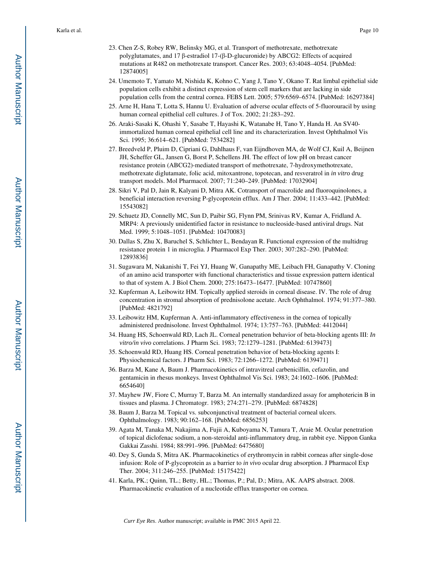- 23. Chen Z-S, Robey RW, Belinsky MG, et al. Transport of methotrexate, methotrexate polyglutamates, and 17 β-estradiol 17-(β-D-glucuronide) by ABCG2: Effects of acquired mutations at R482 on methotrexate transport. Cancer Res. 2003; 63:4048–4054. [PubMed: 12874005]
- 24. Umemoto T, Yamato M, Nishida K, Kohno C, Yang J, Tano Y, Okano T. Rat limbal epithelial side population cells exhibit a distinct expression of stem cell markers that are lacking in side population cells from the central cornea. FEBS Lett. 2005; 579:6569–6574. [PubMed: 16297384]
- 25. Arne H, Hana T, Lotta S, Hannu U. Evaluation of adverse ocular effects of 5-fluorouracil by using human corneal epithelial cell cultures. J of Tox. 2002; 21:283–292.
- 26. Araki-Sasaki K, Ohashi Y, Sasabe T, Hayashi K, Watanabe H, Tano Y, Handa H. An SV40 immortalized human corneal epithelial cell line and its characterization. Invest Ophthalmol Vis Sci. 1995; 36:614–621. [PubMed: 7534282]
- 27. Breedveld P, Pluim D, Cipriani G, Dahlhaus F, van Eijndhoven MA, de Wolf CJ, Kuil A, Beijnen JH, Scheffer GL, Jansen G, Borst P, Schellens JH. The effect of low pH on breast cancer resistance protein (ABCG2)-mediated transport of methotrexate, 7-hydroxymethotrexate, methotrexate diglutamate, folic acid, mitoxantrone, topotecan, and resveratrol in *in vitro* drug transport models. Mol Pharmacol. 2007; 71:240–249. [PubMed: 17032904]
- 28. Sikri V, Pal D, Jain R, Kalyani D, Mitra AK. Cotransport of macrolide and fluoroquinolones, a beneficial interaction reversing P-glycoprotein efflux. Am J Ther. 2004; 11:433–442. [PubMed: 15543082]
- 29. Schuetz JD, Connelly MC, Sun D, Paibir SG, Flynn PM, Srinivas RV, Kumar A, Fridland A. MRP4: A previously unidentified factor in resistance to nucleoside-based antiviral drugs. Nat Med. 1999; 5:1048–1051. [PubMed: 10470083]
- 30. Dallas S, Zhu X, Baruchel S, Schlichter L, Bendayan R. Functional expression of the multidrug resistance protein 1 in microglia. J Pharmacol Exp Ther. 2003; 307:282–290. [PubMed: 12893836]
- 31. Sugawara M, Nakanishi T, Fei YJ, Huang W, Ganapathy ME, Leibach FH, Ganapathy V. Cloning of an amino acid transporter with functional characteristics and tissue expression pattern identical to that of system A. J Biol Chem. 2000; 275:16473–16477. [PubMed: 10747860]
- 32. Kupferman A, Leibowitz HM. Topically applied steroids in corneal disease. IV. The role of drug concentration in stromal absorption of prednisolone acetate. Arch Ophthalmol. 1974; 91:377–380. [PubMed: 4821792]
- 33. Leibowitz HM, Kupferman A. Anti-inflammatory effectiveness in the cornea of topically administered prednisolone. Invest Ophthalmol. 1974; 13:757–763. [PubMed: 4412044]
- 34. Huang HS, Schoenwald RD, Lach JL. Corneal penetration behavior of beta-blocking agents III: *In vitro/in vivo* correlations. J Pharm Sci. 1983; 72:1279–1281. [PubMed: 6139473]
- 35. Schoenwald RD, Huang HS. Corneal penetration behavior of beta-blocking agents I: Physiochemical factors. J Pharm Sci. 1983; 72:1266–1272. [PubMed: 6139471]
- 36. Barza M, Kane A, Baum J. Pharmacokinetics of intravitreal carbenicillin, cefazolin, and gentamicin in rhesus monkeys. Invest Ophthalmol Vis Sci. 1983; 24:1602–1606. [PubMed: 6654640]
- 37. Mayhew JW, Fiore C, Murray T, Barza M. An internally standardized assay for amphotericin B in tissues and plasma. J Chromatogr. 1983; 274:271–279. [PubMed: 6874828]
- 38. Baum J, Barza M. Topical vs. subconjunctival treatment of bacterial corneal ulcers. Ophthalmology. 1983; 90:162–168. [PubMed: 6856253]
- 39. Agata M, Tanaka M, Nakajima A, Fujii A, Kuboyama N, Tamura T, Araie M. Ocular penetration of topical diclofenac sodium, a non-steroidal anti-inflammatory drug, in rabbit eye. Nippon Ganka Gakkai Zasshi. 1984; 88:991–996. [PubMed: 6475680]
- 40. Dey S, Gunda S, Mitra AK. Pharmacokinetics of erythromycin in rabbit corneas after single-dose infusion: Role of P-glycoprotein as a barrier to *in vivo* ocular drug absorption. J Pharmacol Exp Ther. 2004; 311:246–255. [PubMed: 15175422]
- 41. Karla, PK.; Quinn, TL.; Betty, HL.; Thomas, P.; Pal, D.; Mitra, AK. AAPS abstract. 2008. Pharmacokinetic evaluation of a nucleotide efflux transporter on cornea.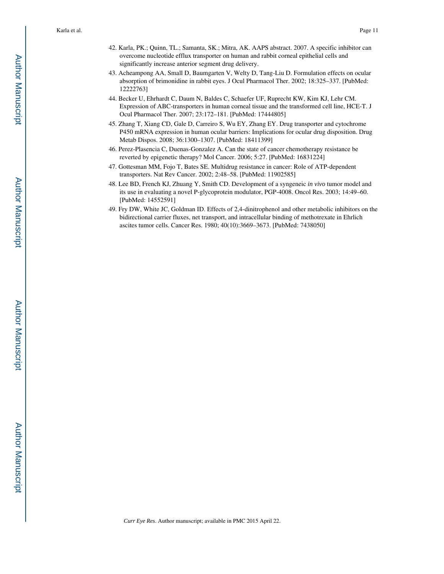- 42. Karla, PK.; Quinn, TL.; Samanta, SK.; Mitra, AK. AAPS abstract. 2007. A specific inhibitor can overcome nucleotide efflux transporter on human and rabbit corneal epithelial cells and significantly increase anterior segment drug delivery.
- 43. Acheampong AA, Small D, Baumgarten V, Welty D, Tang-Liu D. Formulation effects on ocular absorption of brimonidine in rabbit eyes. J Ocul Pharmacol Ther. 2002; 18:325–337. [PubMed: 12222763]
- 44. Becker U, Ehrhardt C, Daum N, Baldes C, Schaefer UF, Ruprecht KW, Kim KJ, Lehr CM. Expression of ABC-transporters in human corneal tissue and the transformed cell line, HCE-T. J Ocul Pharmacol Ther. 2007; 23:172–181. [PubMed: 17444805]
- 45. Zhang T, Xiang CD, Gale D, Carreiro S, Wu EY, Zhang EY. Drug transporter and cytochrome P450 mRNA expression in human ocular barriers: Implications for ocular drug disposition. Drug Metab Dispos. 2008; 36:1300–1307. [PubMed: 18411399]
- 46. Perez-Plasencia C, Duenas-Gonzalez A. Can the state of cancer chemotherapy resistance be reverted by epigenetic therapy? Mol Cancer. 2006; 5:27. [PubMed: 16831224]
- 47. Gottesman MM, Fojo T, Bates SE. Multidrug resistance in cancer: Role of ATP-dependent transporters. Nat Rev Cancer. 2002; 2:48–58. [PubMed: 11902585]
- 48. Lee BD, French KJ, Zhuang Y, Smith CD. Development of a syngeneic *in vivo* tumor model and its use in evaluating a novel P-glycoprotein modulator, PGP-4008. Oncol Res. 2003; 14:49–60. [PubMed: 14552591]
- 49. Fry DW, White JC, Goldman ID. Effects of 2,4-dinitrophenol and other metabolic inhibitors on the bidirectional carrier fluxes, net transport, and intracellular binding of methotrexate in Ehrlich ascites tumor cells. Cancer Res. 1980; 40(10):3669–3673. [PubMed: 7438050]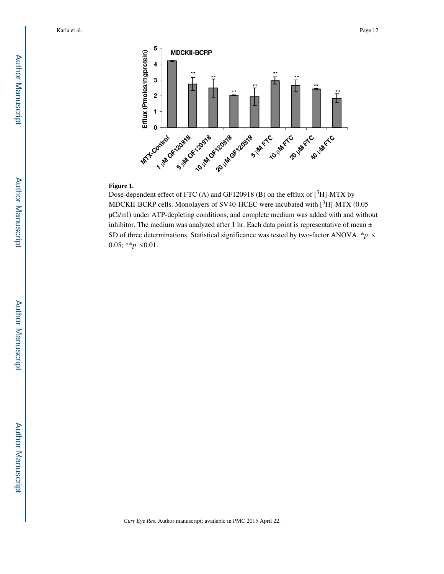

#### **Figure 1.**

Dose-dependent effect of FTC (A) and GF120918 (B) on the efflux of  $[3H]$ -MTX by MDCKII-BCRP cells. Monolayers of SV40-HCEC were incubated with [<sup>3</sup>H]-MTX (0.05 μCi/ml) under ATP-depleting conditions, and complete medium was added with and without inhibitor. The medium was analyzed after 1 hr. Each data point is representative of mean  $\pm$ SD of three determinations. Statistical significance was tested by two-factor ANOVA. \**p* ≤ 0.05;  $**p \leq 0.01$ .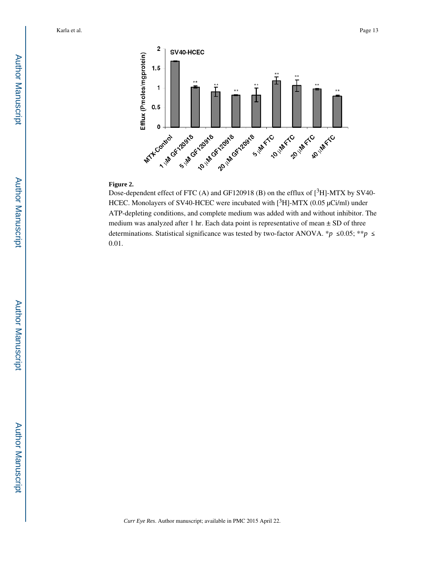

#### **Figure 2.**

Dose-dependent effect of FTC (A) and GF120918 (B) on the efflux of  $[3H]$ -MTX by SV40-HCEC. Monolayers of SV40-HCEC were incubated with [3H]-MTX (0.05 μCi/ml) under ATP-depleting conditions, and complete medium was added with and without inhibitor. The medium was analyzed after 1 hr. Each data point is representative of mean ± SD of three determinations. Statistical significance was tested by two-factor ANOVA. \**p*  $\leq 0.05$ ; \*\**p*  $\leq$ 0.01.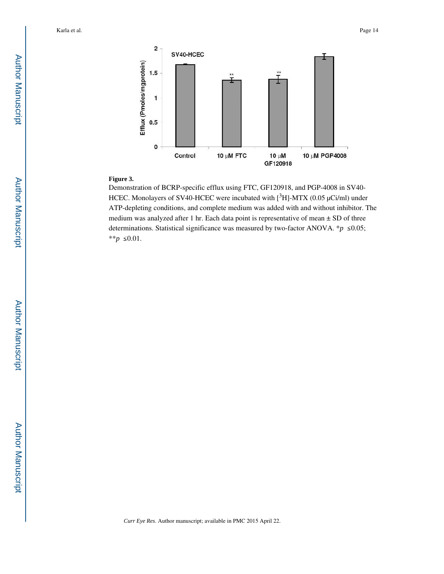

# **Figure 3.**

Demonstration of BCRP-specific efflux using FTC, GF120918, and PGP-4008 in SV40- HCEC. Monolayers of SV40-HCEC were incubated with [3H]-MTX (0.05 μCi/ml) under ATP-depleting conditions, and complete medium was added with and without inhibitor. The medium was analyzed after 1 hr. Each data point is representative of mean  $\pm$  SD of three determinations. Statistical significance was measured by two-factor ANOVA.  $*$ *p* ≤0.05; \*\**p* ≤ 0.01.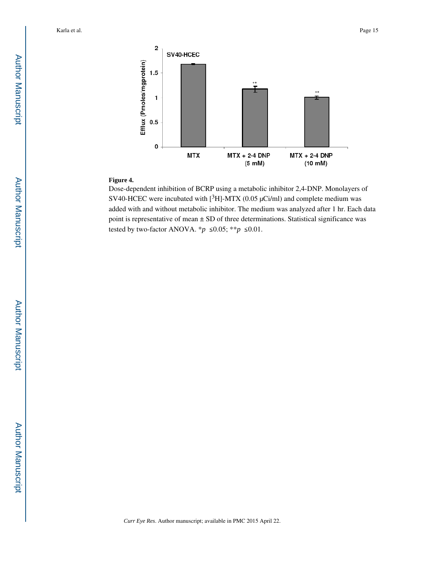

#### **Figure 4.**

Dose-dependent inhibition of BCRP using a metabolic inhibitor 2,4-DNP. Monolayers of SV40-HCEC were incubated with  $[{}^{3}H]$ -MTX (0.05 µCi/ml) and complete medium was added with and without metabolic inhibitor. The medium was analyzed after 1 hr. Each data point is representative of mean ± SD of three determinations. Statistical significance was tested by two-factor ANOVA. \* $p \leq 0.05$ ; \*\* $p \leq 0.01$ .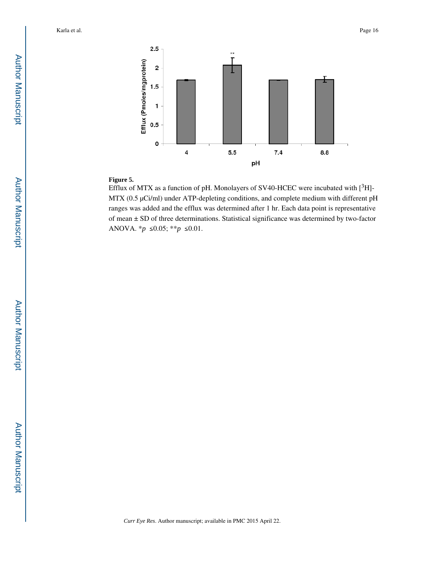

# **Figure 5.**

Efflux of MTX as a function of pH. Monolayers of SV40-HCEC were incubated with  $[^3H]$ -MTX (0.5 μCi/ml) under ATP-depleting conditions, and complete medium with different pH ranges was added and the efflux was determined after 1 hr. Each data point is representative of mean ± SD of three determinations. Statistical significance was determined by two-factor ANOVA. *\*p* ≤0.05; *\*\*p* ≤0.01.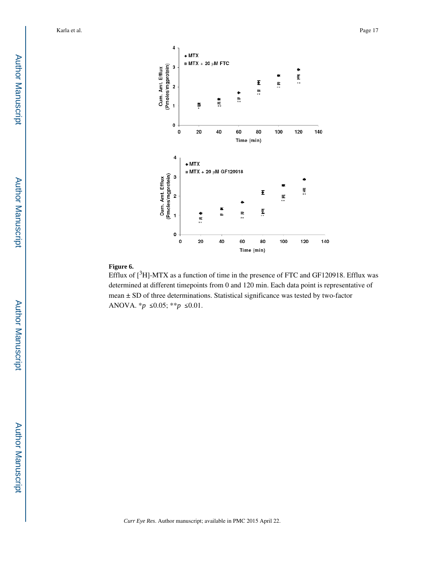

#### **Figure 6.**

Efflux of  $[3H]$ -MTX as a function of time in the presence of FTC and GF120918. Efflux was determined at different timepoints from 0 and 120 min. Each data point is representative of mean ± SD of three determinations. Statistical significance was tested by two-factor ANOVA. *\*p* ≤0.05; *\*\*p* ≤0.01.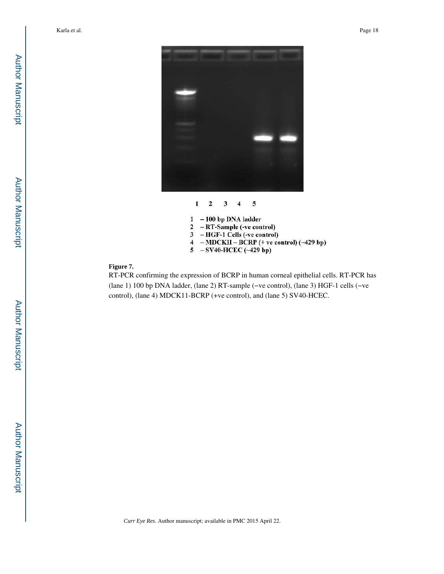



- $1 100$  bp DNA ladder
- 2 RT-Sample (-ve control)
- 3 HGF-1 Cells (-ve control)
- $\overline{\mathbf{4}}$  $-MDCKII - BCRP$  (+ ve control) (~429 bp)
- 5 SV40-HCEC (~429 bp)

# **Figure 7.**

RT-PCR confirming the expression of BCRP in human corneal epithelial cells. RT-PCR has (lane 1) 100 bp DNA ladder, (lane 2) RT-sample (−ve control), (lane 3) HGF-1 cells (−ve control), (lane 4) MDCK11-BCRP (+ve control), and (lane 5) SV40-HCEC.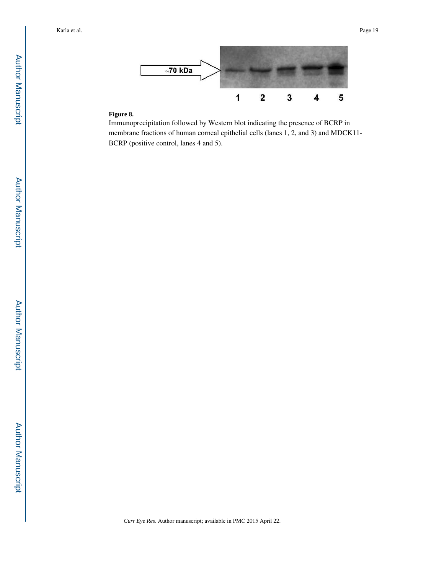

# **Figure 8.**

Immunoprecipitation followed by Western blot indicating the presence of BCRP in membrane fractions of human corneal epithelial cells (lanes 1, 2, and 3) and MDCK11- BCRP (positive control, lanes 4 and 5).